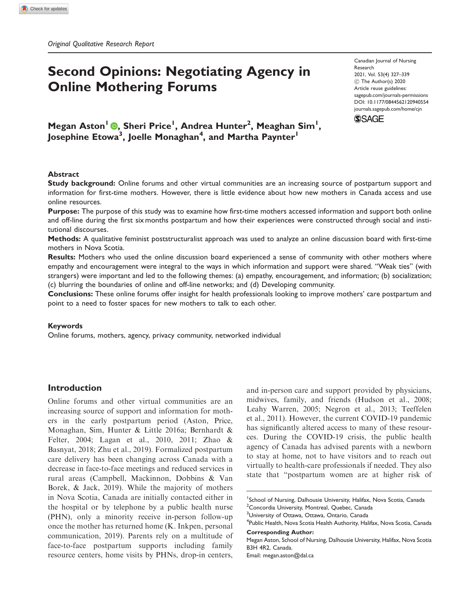# Second Opinions: Negotiating Agency in Online Mothering Forums

Canadian Journal of Nursing Research  $\circledcirc$  The Author(s) 2020 Article reuse guidelines: [sagepub.com/journals-permissions](http://us.sagepub.com/en-us/journals-permissions) [DOI: 10.1177/0844562120940554](http://dx.doi.org/10.1177/0844562120940554) <journals.sagepub.com/home/cjn> 2021, Vol. 53(4) 327–339



Megan Aston1 , Sheri Price<sup>1</sup> , Andrea Hunter2 , Meaghan Sim<sup>1</sup> , Josephine Etowa<sup>3</sup>, Joelle Monaghan<sup>4</sup>, and Martha Paynter<sup>l</sup>

#### Abstract

**Study background:** Online forums and other virtual communities are an increasing source of postpartum support and information for first-time mothers. However, there is little evidence about how new mothers in Canada access and use online resources.

Purpose: The purpose of this study was to examine how first-time mothers accessed information and support both online and off-line during the first six months postpartum and how their experiences were constructed through social and institutional discourses.

Methods: A qualitative feminist poststructuralist approach was used to analyze an online discussion board with first-time mothers in Nova Scotia.

Results: Mothers who used the online discussion board experienced a sense of community with other mothers where empathy and encouragement were integral to the ways in which information and support were shared. "Weak ties" (with strangers) were important and led to the following themes: (a) empathy, encouragement, and information; (b) socialization; (c) blurring the boundaries of online and off-line networks; and (d) Developing community.

Conclusions: These online forums offer insight for health professionals looking to improve mothers' care postpartum and point to a need to foster spaces for new mothers to talk to each other.

#### Keywords

Online forums, mothers, agency, privacy community, networked individual

# Introduction

Online forums and other virtual communities are an increasing source of support and information for mothers in the early postpartum period (Aston, Price, Monaghan, Sim, Hunter & Little 2016a; Bernhardt & Felter, 2004; Lagan et al., 2010, 2011; Zhao & Basnyat, 2018; Zhu et al., 2019). Formalized postpartum care delivery has been changing across Canada with a decrease in face-to-face meetings and reduced services in rural areas (Campbell, Mackinnon, Dobbins & Van Borek, & Jack, 2019). While the majority of mothers in Nova Scotia, Canada are initially contacted either in the hospital or by telephone by a public health nurse (PHN), only a minority receive in-person follow-up once the mother has returned home (K. Inkpen, personal communication, 2019). Parents rely on a multitude of face-to-face postpartum supports including family resource centers, home visits by PHNs, drop-in centers,

and in-person care and support provided by physicians, midwives, family, and friends (Hudson et al., 2008; Leahy Warren, 2005; Negron et al., 2013; Teeffelen et al., 2011). However, the current COVID-19 pandemic has significantly altered access to many of these resources. During the COVID-19 crisis, the public health agency of Canada has advised parents with a newborn to stay at home, not to have visitors and to reach out virtually to health-care professionals if needed. They also state that "postpartum women are at higher risk of

Corresponding Author:

Megan Aston, School of Nursing, Dalhousie University, Halifax, Nova Scotia B3H 4R2, Canada.

Email: [megan.aston@dal.ca](mailto:megan.aston@dal.ca)

<sup>&</sup>lt;sup>1</sup>School of Nursing, Dalhousie University, Halifax, Nova Scotia, Canada <sup>2</sup> Concordia University, Montreal, Quebec, Canada

<sup>&</sup>lt;sup>3</sup>University of Ottawa, Ottawa, Ontario, Canada

<sup>&</sup>lt;sup>4</sup>Public Health, Nova Scotia Health Authority, Halifax, Nova Scotia, Canada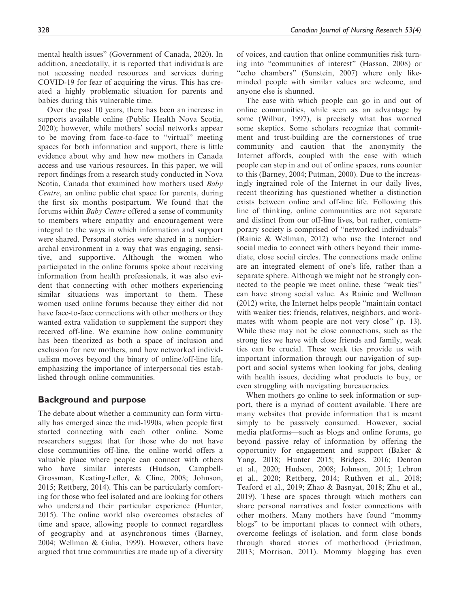mental health issues" (Government of Canada, 2020). In addition, anecdotally, it is reported that individuals are not accessing needed resources and services during COVID-19 for fear of acquiring the virus. This has created a highly problematic situation for parents and

babies during this vulnerable time. Over the past 10 years, there has been an increase in supports available online (Public Health Nova Scotia, 2020); however, while mothers' social networks appear to be moving from face-to-face to "virtual" meeting spaces for both information and support, there is little evidence about why and how new mothers in Canada access and use various resources. In this paper, we will report findings from a research study conducted in Nova Scotia, Canada that examined how mothers used *Baby* Centre, an online public chat space for parents, during the first six months postpartum. We found that the forums within Baby Centre offered a sense of community to members where empathy and encouragement were integral to the ways in which information and support were shared. Personal stories were shared in a nonhierarchal environment in a way that was engaging, sensitive, and supportive. Although the women who participated in the online forums spoke about receiving information from health professionals, it was also evident that connecting with other mothers experiencing similar situations was important to them. These women used online forums because they either did not have face-to-face connections with other mothers or they wanted extra validation to supplement the support they received off-line. We examine how online community has been theorized as both a space of inclusion and exclusion for new mothers, and how networked individualism moves beyond the binary of online/off-line life, emphasizing the importance of interpersonal ties established through online communities.

# Background and purpose

The debate about whether a community can form virtually has emerged since the mid-1990s, when people first started connecting with each other online. Some researchers suggest that for those who do not have close communities off-line, the online world offers a valuable place where people can connect with others who have similar interests (Hudson, Campbell-Grossman, Keating-Lefler, & Cline, 2008; Johnson, 2015; Rettberg, 2014). This can be particularly comforting for those who feel isolated and are looking for others who understand their particular experience (Hunter, 2015). The online world also overcomes obstacles of time and space, allowing people to connect regardless of geography and at asynchronous times (Barney, 2004; Wellman & Gulia, 1999). However, others have argued that true communities are made up of a diversity of voices, and caution that online communities risk turning into "communities of interest" (Hassan, 2008) or "echo chambers" (Sunstein, 2007) where only likeminded people with similar values are welcome, and

anyone else is shunned. The ease with which people can go in and out of online communities, while seen as an advantage by some (Wilbur, 1997), is precisely what has worried some skeptics. Some scholars recognize that commitment and trust-building are the cornerstones of true community and caution that the anonymity the Internet affords, coupled with the ease with which people can step in and out of online spaces, runs counter to this (Barney, 2004; Putman, 2000). Due to the increasingly ingrained role of the Internet in our daily lives, recent theorizing has questioned whether a distinction exists between online and off-line life. Following this line of thinking, online communities are not separate and distinct from our off-line lives, but rather, contemporary society is comprised of "networked individuals" (Rainie & Wellman, 2012) who use the Internet and social media to connect with others beyond their immediate, close social circles. The connections made online are an integrated element of one's life, rather than a separate sphere. Although we might not be strongly connected to the people we meet online, these "weak ties" can have strong social value. As Rainie and Wellman (2012) write, the Internet helps people "maintain contact with weaker ties: friends, relatives, neighbors, and workmates with whom people are not very close" (p. 13). While these may not be close connections, such as the strong ties we have with close friends and family, weak ties can be crucial. These weak ties provide us with important information through our navigation of support and social systems when looking for jobs, dealing with health issues, deciding what products to buy, or even struggling with navigating bureaucracies.

When mothers go online to seek information or support, there is a myriad of content available. There are many websites that provide information that is meant simply to be passively consumed. However, social media platforms—such as blogs and online forums, go beyond passive relay of information by offering the opportunity for engagement and support (Baker & Yang, 2018; Hunter 2015; Bridges, 2016; Denton et al., 2020; Hudson, 2008; Johnson, 2015; Lebron et al., 2020; Rettberg, 2014; Ruthven et al., 2018; Teaford et al., 2019; Zhao & Basnyat, 2018; Zhu et al., 2019). These are spaces through which mothers can share personal narratives and foster connections with other mothers. Many mothers have found "mommy blogs" to be important places to connect with others, overcome feelings of isolation, and form close bonds through shared stories of motherhood (Friedman, 2013; Morrison, 2011). Mommy blogging has even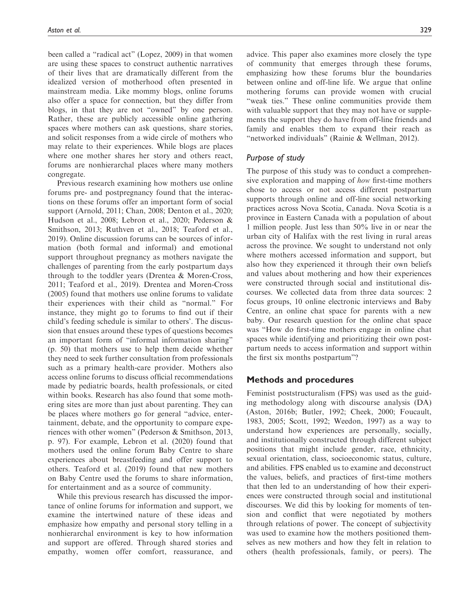been called a "radical act" (Lopez, 2009) in that women are using these spaces to construct authentic narratives of their lives that are dramatically different from the idealized version of motherhood often presented in mainstream media. Like mommy blogs, online forums also offer a space for connection, but they differ from blogs, in that they are not "owned" by one person. Rather, these are publicly accessible online gathering spaces where mothers can ask questions, share stories, and solicit responses from a wide circle of mothers who may relate to their experiences. While blogs are places where one mother shares her story and others react, forums are nonhierarchal places where many mothers congregate.

Previous research examining how mothers use online forums pre- and postpregnancy found that the interactions on these forums offer an important form of social support (Arnold, 2011; Chan, 2008; Denton et al., 2020; Hudson et al., 2008; Lebron et al., 2020; Pederson & Smithson, 2013; Ruthven et al., 2018; Teaford et al., 2019). Online discussion forums can be sources of information (both formal and informal) and emotional support throughout pregnancy as mothers navigate the challenges of parenting from the early postpartum days through to the toddler years (Drentea & Moren-Cross, 2011; Teaford et al., 2019). Drentea and Moren-Cross (2005) found that mothers use online forums to validate their experiences with their child as "normal." For instance, they might go to forums to find out if their child's feeding schedule is similar to others'. The discussion that ensues around these types of questions becomes an important form of "informal information sharing" (p. 50) that mothers use to help them decide whether they need to seek further consultation from professionals such as a primary health-care provider. Mothers also access online forums to discuss official recommendations made by pediatric boards, health professionals, or cited within books. Research has also found that some mothering sites are more than just about parenting. They can be places where mothers go for general "advice, entertainment, debate, and the opportunity to compare experiences with other women" (Pederson & Smithson, 2013, p. 97). For example, Lebron et al. (2020) found that mothers used the online forum Baby Centre to share experiences about breastfeeding and offer support to others. Teaford et al. (2019) found that new mothers on Baby Centre used the forums to share information, for entertainment and as a source of community.

While this previous research has discussed the importance of online forums for information and support, we examine the intertwined nature of these ideas and emphasize how empathy and personal story telling in a nonhierarchal environment is key to how information and support are offered. Through shared stories and empathy, women offer comfort, reassurance, and advice. This paper also examines more closely the type of community that emerges through these forums, emphasizing how these forums blur the boundaries between online and off-line life. We argue that online mothering forums can provide women with crucial "weak ties." These online communities provide them with valuable support that they may not have or supplements the support they do have from off-line friends and family and enables them to expand their reach as "networked individuals" (Rainie & Wellman, 2012).

# Purpose of study

The purpose of this study was to conduct a comprehensive exploration and mapping of how first-time mothers chose to access or not access different postpartum supports through online and off-line social networking practices across Nova Scotia, Canada. Nova Scotia is a province in Eastern Canada with a population of about 1 million people. Just less than 50% live in or near the urban city of Halifax with the rest living in rural areas across the province. We sought to understand not only where mothers accessed information and support, but also how they experienced it through their own beliefs and values about mothering and how their experiences were constructed through social and institutional discourses. We collected data from three data sources: 2 focus groups, 10 online electronic interviews and Baby Centre, an online chat space for parents with a new baby. Our research question for the online chat space was "How do first-time mothers engage in online chat spaces while identifying and prioritizing their own postpartum needs to access information and support within the first six months postpartum"?

# Methods and procedures

Feminist poststructuralism (FPS) was used as the guiding methodology along with discourse analysis (DA) (Aston, 2016b; Butler, 1992; Cheek, 2000; Foucault, 1983, 2005; Scott, 1992; Weedon, 1997) as a way to understand how experiences are personally, socially, and institutionally constructed through different subject positions that might include gender, race, ethnicity, sexual orientation, class, socioeconomic status, culture, and abilities. FPS enabled us to examine and deconstruct the values, beliefs, and practices of first-time mothers that then led to an understanding of how their experiences were constructed through social and institutional discourses. We did this by looking for moments of tension and conflict that were negotiated by mothers through relations of power. The concept of subjectivity was used to examine how the mothers positioned themselves as new mothers and how they felt in relation to others (health professionals, family, or peers). The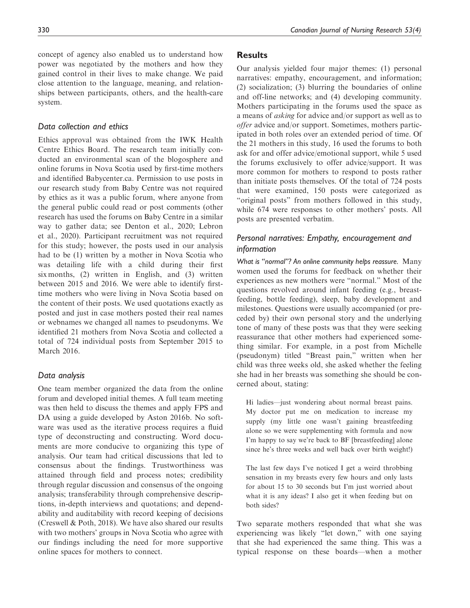concept of agency also enabled us to understand how power was negotiated by the mothers and how they gained control in their lives to make change. We paid close attention to the language, meaning, and relationships between participants, others, and the health-care system.

# Data collection and ethics

Ethics approval was obtained from the IWK Health Centre Ethics Board. The research team initially conducted an environmental scan of the blogosphere and online forums in Nova Scotia used by first-time mothers and identified Babycenter.ca. Permission to use posts in our research study from Baby Centre was not required by ethics as it was a public forum, where anyone from the general public could read or post comments (other research has used the forums on Baby Centre in a similar way to gather data; see Denton et al., 2020; Lebron et al., 2020). Participant recruitment was not required for this study; however, the posts used in our analysis had to be (1) written by a mother in Nova Scotia who was detailing life with a child during their first six months, (2) written in English, and (3) written between 2015 and 2016. We were able to identify firsttime mothers who were living in Nova Scotia based on the content of their posts. We used quotations exactly as posted and just in case mothers posted their real names or webnames we changed all names to pseudonyms. We identified 21 mothers from Nova Scotia and collected a total of 724 individual posts from September 2015 to March 2016.

### Data analysis

One team member organized the data from the online forum and developed initial themes. A full team meeting was then held to discuss the themes and apply FPS and DA using a guide developed by Aston 2016b. No software was used as the iterative process requires a fluid type of deconstructing and constructing. Word documents are more conducive to organizing this type of analysis. Our team had critical discussions that led to consensus about the findings. Trustworthiness was attained through field and process notes; credibility through regular discussion and consensus of the ongoing analysis; transferability through comprehensive descriptions, in-depth interviews and quotations; and dependability and auditability with record keeping of decisions (Creswell & Poth, 2018). We have also shared our results with two mothers' groups in Nova Scotia who agree with our findings including the need for more supportive online spaces for mothers to connect.

## **Results**

Our analysis yielded four major themes: (1) personal narratives: empathy, encouragement, and information; (2) socialization; (3) blurring the boundaries of online and off-line networks; and (4) developing community. Mothers participating in the forums used the space as a means of asking for advice and/or support as well as to offer advice and/or support. Sometimes, mothers participated in both roles over an extended period of time. Of the 21 mothers in this study, 16 used the forums to both ask for and offer advice/emotional support, while 5 used the forums exclusively to offer advice/support. It was more common for mothers to respond to posts rather than initiate posts themselves. Of the total of 724 posts that were examined, 150 posts were categorized as "original posts" from mothers followed in this study, while 674 were responses to other mothers' posts. All posts are presented verbatim.

# Personal narratives: Empathy, encouragement and information

What is "normal"? An online community helps reassure. Many women used the forums for feedback on whether their experiences as new mothers were "normal." Most of the questions revolved around infant feeding (e.g., breastfeeding, bottle feeding), sleep, baby development and milestones. Questions were usually accompanied (or preceded by) their own personal story and the underlying tone of many of these posts was that they were seeking reassurance that other mothers had experienced something similar. For example, in a post from Michelle (pseudonym) titled "Breast pain," written when her child was three weeks old, she asked whether the feeling she had in her breasts was something she should be concerned about, stating:

Hi ladies—just wondering about normal breast pains. My doctor put me on medication to increase my supply (my little one wasn't gaining breastfeeding alone so we were supplementing with formula and now I'm happy to say we're back to BF [breastfeeding] alone since he's three weeks and well back over birth weight!)

The last few days I've noticed I get a weird throbbing sensation in my breasts every few hours and only lasts for about 15 to 30 seconds but I'm just worried about what it is any ideas? I also get it when feeding but on both sides?

Two separate mothers responded that what she was experiencing was likely "let down," with one saying that she had experienced the same thing. This was a typical response on these boards—when a mother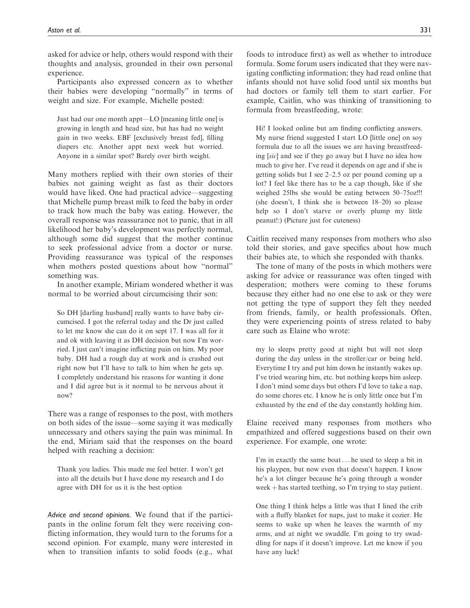asked for advice or help, others would respond with their thoughts and analysis, grounded in their own personal experience.

Participants also expressed concern as to whether their babies were developing "normally" in terms of weight and size. For example, Michelle posted:

Just had our one month appt—LO [meaning little one] is growing in length and head size, but has had no weight gain in two weeks. EBF [exclusively breast fed], filling diapers etc. Another appt next week but worried. Anyone in a similar spot? Barely over birth weight.

Many mothers replied with their own stories of their babies not gaining weight as fast as their doctors would have liked. One had practical advice—suggesting that Michelle pump breast milk to feed the baby in order to track how much the baby was eating. However, the overall response was reassurance not to panic, that in all likelihood her baby's development was perfectly normal, although some did suggest that the mother continue to seek professional advice from a doctor or nurse. Providing reassurance was typical of the responses when mothers posted questions about how "normal" something was.

In another example, Miriam wondered whether it was normal to be worried about circumcising their son:

So DH [darling husband] really wants to have baby circumcised. I got the referral today and the Dr just called to let me know she can do it on sept 17. I was all for it and ok with leaving it as DH decision but now I'm worried. I just can't imagine inflicting pain on him. My poor baby. DH had a rough day at work and is crashed out right now but I'll have to talk to him when he gets up. I completely understand his reasons for wanting it done and I did agree but is it normal to be nervous about it now?

There was a range of responses to the post, with mothers on both sides of the issue—some saying it was medically unnecessary and others saying the pain was minimal. In the end, Miriam said that the responses on the board helped with reaching a decision:

Thank you ladies. This made me feel better. I won't get into all the details but I have done my research and I do agree with DH for us it is the best option

Advice and second opinions. We found that if the participants in the online forum felt they were receiving conflicting information, they would turn to the forums for a second opinion. For example, many were interested in when to transition infants to solid foods (e.g., what foods to introduce first) as well as whether to introduce formula. Some forum users indicated that they were navigating conflicting information; they had read online that infants should not have solid food until six months but had doctors or family tell them to start earlier. For example, Caitlin, who was thinking of transitioning to formula from breastfeeding, wrote:

Hi! I looked online but am finding conflicting answers. My nurse friend suggested I start LO [little one] on soy formula due to all the issues we are having breastfreeding [sic] and see if they go away but I have no idea how much to give her. I've read it depends on age and if she is getting solids but I see 2–2.5 oz per pound coming up a lot? I feel like there has to be a cap though, like if she weighed 25lbs she would be eating between 50–75oz!!! (she doesn't, I think she is between 18–20) so please help so I don't starve or overly plump my little peanut!:) (Picture just for cuteness)

Caitlin received many responses from mothers who also told their stories, and gave specifics about how much their babies ate, to which she responded with thanks.

The tone of many of the posts in which mothers were asking for advice or reassurance was often tinged with desperation; mothers were coming to these forums because they either had no one else to ask or they were not getting the type of support they felt they needed from friends, family, or health professionals. Often, they were experiencing points of stress related to baby care such as Elaine who wrote:

my lo sleeps pretty good at night but will not sleep during the day unless in the stroller/car or being held. Everytime I try and put him down he instantly wakes up. I've tried wearing him, etc. but nothing keeps him asleep. I don't mind some days but others I'd love to take a nap, do some chores etc. I know he is only little once but I'm exhausted by the end of the day constantly holding him.

Elaine received many responses from mothers who empathized and offered suggestions based on their own experience. For example, one wrote:

I'm in exactly the same boat ... he used to sleep a bit in his playpen, but now even that doesn't happen. I know he's a lot clinger because he's going through a wonder week  $+$  has started teething, so I'm trying to stay patient.

One thing I think helps a little was that I lined the crib with a fluffy blanket for naps, just to make it cozier. He seems to wake up when he leaves the warmth of my arms, and at night we swaddle. I'm going to try swaddling for naps if it doesn't improve. Let me know if you have any luck!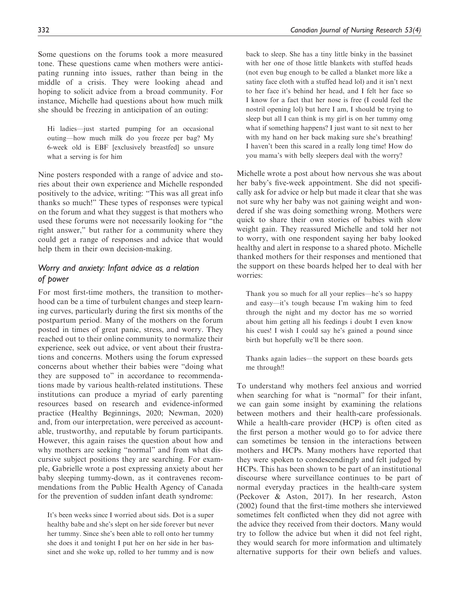Some questions on the forums took a more measured tone. These questions came when mothers were anticipating running into issues, rather than being in the middle of a crisis. They were looking ahead and hoping to solicit advice from a broad community. For instance, Michelle had questions about how much milk she should be freezing in anticipation of an outing:

Hi ladies—just started pumping for an occasional outing—how much milk do you freeze per bag? My 6-week old is EBF [exclusively breastfed] so unsure what a serving is for him

Nine posters responded with a range of advice and stories about their own experience and Michelle responded positively to the advice, writing: "This was all great info thanks so much!" These types of responses were typical on the forum and what they suggest is that mothers who used these forums were not necessarily looking for "the right answer," but rather for a community where they could get a range of responses and advice that would help them in their own decision-making.

# Worry and anxiety: Infant advice as a relation of power

For most first-time mothers, the transition to motherhood can be a time of turbulent changes and steep learning curves, particularly during the first six months of the postpartum period. Many of the mothers on the forum posted in times of great panic, stress, and worry. They reached out to their online community to normalize their experience, seek out advice, or vent about their frustrations and concerns. Mothers using the forum expressed concerns about whether their babies were "doing what they are supposed to" in accordance to recommendations made by various health-related institutions. These institutions can produce a myriad of early parenting resources based on research and evidence-informed practice (Healthy Beginnings, 2020; Newman, 2020) and, from our interpretation, were perceived as accountable, trustworthy, and reputable by forum participants. However, this again raises the question about how and why mothers are seeking "normal" and from what discursive subject positions they are searching. For example, Gabrielle wrote a post expressing anxiety about her baby sleeping tummy-down, as it contravenes recommendations from the Public Health Agency of Canada for the prevention of sudden infant death syndrome:

It's been weeks since I worried about sids. Dot is a super healthy babe and she's slept on her side forever but never her tummy. Since she's been able to roll onto her tummy she does it and tonight I put her on her side in her bassinet and she woke up, rolled to her tummy and is now

to her face it's behind her head, and I felt her face so I know for a fact that her nose is free (I could feel the nostril opening lol) but here I am, I should be trying to sleep but all I can think is my girl is on her tummy omg what if something happens? I just want to sit next to her with my hand on her back making sure she's breathing! I haven't been this scared in a really long time! How do you mama's with belly sleepers deal with the worry?

Michelle wrote a post about how nervous she was about her baby's five-week appointment. She did not specifically ask for advice or help but made it clear that she was not sure why her baby was not gaining weight and wondered if she was doing something wrong. Mothers were quick to share their own stories of babies with slow weight gain. They reassured Michelle and told her not to worry, with one respondent saying her baby looked healthy and alert in response to a shared photo. Michelle thanked mothers for their responses and mentioned that the support on these boards helped her to deal with her worries:

Thank you so much for all your replies—he's so happy and easy—it's tough because I'm waking him to feed through the night and my doctor has me so worried about him getting all his feedings i doubt I even know his cues! I wish I could say he's gained a pound since birth but hopefully we'll be there soon.

Thanks again ladies—the support on these boards gets me through!!

To understand why mothers feel anxious and worried when searching for what is "normal" for their infant, we can gain some insight by examining the relations between mothers and their health-care professionals. While a health-care provider (HCP) is often cited as the first person a mother would go to for advice there can sometimes be tension in the interactions between mothers and HCPs. Many mothers have reported that they were spoken to condescendingly and felt judged by HCPs. This has been shown to be part of an institutional discourse where surveillance continues to be part of normal everyday practices in the health-care system (Peckover & Aston, 2017). In her research, Aston (2002) found that the first-time mothers she interviewed sometimes felt conflicted when they did not agree with the advice they received from their doctors. Many would try to follow the advice but when it did not feel right, they would search for more information and ultimately alternative supports for their own beliefs and values.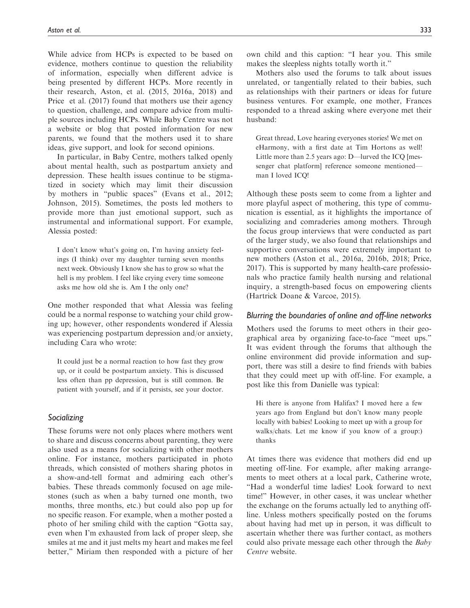While advice from HCPs is expected to be based on evidence, mothers continue to question the reliability of information, especially when different advice is being presented by different HCPs. More recently in their research, Aston, et al. (2015, 2016a, 2018) and Price et al. (2017) found that mothers use their agency to question, challenge, and compare advice from multiple sources including HCPs. While Baby Centre was not a website or blog that posted information for new parents, we found that the mothers used it to share ideas, give support, and look for second opinions.

In particular, in Baby Centre, mothers talked openly about mental health, such as postpartum anxiety and depression. These health issues continue to be stigmatized in society which may limit their discussion by mothers in "public spaces" (Evans et al., 2012; Johnson, 2015). Sometimes, the posts led mothers to provide more than just emotional support, such as instrumental and informational support. For example, Alessia posted:

I don't know what's going on, I'm having anxiety feelings (I think) over my daughter turning seven months next week. Obviously I know she has to grow so what the hell is my problem. I feel like crying every time someone asks me how old she is. Am I the only one?

One mother responded that what Alessia was feeling could be a normal response to watching your child growing up; however, other respondents wondered if Alessia was experiencing postpartum depression and/or anxiety, including Cara who wrote:

It could just be a normal reaction to how fast they grow up, or it could be postpartum anxiety. This is discussed less often than pp depression, but is still common. Be patient with yourself, and if it persists, see your doctor.

### Socializing

These forums were not only places where mothers went to share and discuss concerns about parenting, they were also used as a means for socializing with other mothers online. For instance, mothers participated in photo threads, which consisted of mothers sharing photos in a show-and-tell format and admiring each other's babies. These threads commonly focused on age milestones (such as when a baby turned one month, two months, three months, etc.) but could also pop up for no specific reason. For example, when a mother posted a photo of her smiling child with the caption "Gotta say, even when I'm exhausted from lack of proper sleep, she smiles at me and it just melts my heart and makes me feel better," Miriam then responded with a picture of her own child and this caption: "I hear you. This smile makes the sleepless nights totally worth it."

Mothers also used the forums to talk about issues unrelated, or tangentially related to their babies, such as relationships with their partners or ideas for future business ventures. For example, one mother, Frances responded to a thread asking where everyone met their husband:

Great thread, Love hearing everyones stories! We met on eHarmony, with a first date at Tim Hortons as well! Little more than 2.5 years ago: D—lurved the ICQ [messenger chat platform] reference someone mentioned man I loved ICQ!

Although these posts seem to come from a lighter and more playful aspect of mothering, this type of communication is essential, as it highlights the importance of socializing and comraderies among mothers. Through the focus group interviews that were conducted as part of the larger study, we also found that relationships and supportive conversations were extremely important to new mothers (Aston et al., 2016a, 2016b, 2018; Price, 2017). This is supported by many health-care professionals who practice family health nursing and relational inquiry, a strength-based focus on empowering clients (Hartrick Doane & Varcoe, 2015).

# Blurring the boundaries of online and off-line networks

Mothers used the forums to meet others in their geographical area by organizing face-to-face "meet ups." It was evident through the forums that although the online environment did provide information and support, there was still a desire to find friends with babies that they could meet up with off-line. For example, a post like this from Danielle was typical:

Hi there is anyone from Halifax? I moved here a few years ago from England but don't know many people locally with babies! Looking to meet up with a group for walks/chats. Let me know if you know of a group:) thanks

At times there was evidence that mothers did end up meeting off-line. For example, after making arrangements to meet others at a local park, Catherine wrote, "Had a wonderful time ladies! Look forward to next time!" However, in other cases, it was unclear whether the exchange on the forums actually led to anything offline. Unless mothers specifically posted on the forums about having had met up in person, it was difficult to ascertain whether there was further contact, as mothers could also private message each other through the Baby Centre website.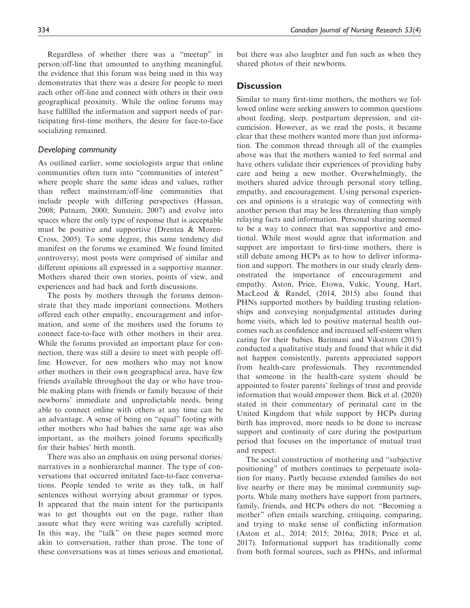Regardless of whether there was a "meetup" in person/off-line that amounted to anything meaningful, the evidence that this forum was being used in this way demonstrates that there was a desire for people to meet each other off-line and connect with others in their own geographical proximity. While the online forums may have fulfilled the information and support needs of participating first-time mothers, the desire for face-to-face socializing remained.

## Developing community

As outlined earlier, some sociologists argue that online communities often turn into "communities of interest" where people share the same ideas and values, rather than reflect mainstream/off-line communities that include people with differing perspectives (Hassan, 2008; Putnam, 2000; Sunstein, 2007) and evolve into spaces where the only type of response that is acceptable must be positive and supportive (Drentea & Moren-Cross, 2005). To some degree, this same tendency did manifest on the forums we examined. We found limited controversy; most posts were comprised of similar and different opinions all expressed in a supportive manner. Mothers shared their own stories, points of view, and experiences and had back and forth discussions.

The posts by mothers through the forums demonstrate that they made important connections. Mothers offered each other empathy, encouragement and information, and some of the mothers used the forums to connect face-to-face with other mothers in their area. While the forums provided an important place for connection, there was still a desire to meet with people offline. However, for new mothers who may not know other mothers in their own geographical area, have few friends available throughout the day or who have trouble making plans with friends or family because of their newborns' immediate and unpredictable needs, being able to connect online with others at any time can be an advantage. A sense of being on "equal" footing with other mothers who had babies the same age was also important, as the mothers joined forums specifically for their babies' birth month.

There was also an emphasis on using personal stories/ narratives in a nonhierarchal manner. The type of conversations that occurred imitated face-to-face conversations. People tended to write as they talk, in half sentences without worrying about grammar or typos. It appeared that the main intent for the participants was to get thoughts out on the page, rather than assure what they were writing was carefully scripted. In this way, the "talk" on these pages seemed more akin to conversation, rather than prose. The tone of these conversations was at times serious and emotional,

but there was also laughter and fun such as when they shared photos of their newborns.

## **Discussion**

Similar to many first-time mothers, the mothers we followed online were seeking answers to common questions about feeding, sleep, postpartum depression, and circumcision. However, as we read the posts, it became clear that these mothers wanted more than just information. The common thread through all of the examples above was that the mothers wanted to feel normal and have others validate their experiences of providing baby care and being a new mother. Overwhelmingly, the mothers shared advice through personal story telling, empathy, and encouragement. Using personal experiences and opinions is a strategic way of connecting with another person that may be less threatening than simply relaying facts and information. Personal sharing seemed to be a way to connect that was supportive and emotional. While most would agree that information and support are important to first-time mothers, there is still debate among HCPs as to how to deliver information and support. The mothers in our study clearly demonstrated the importance of encouragement and empathy. Aston, Price, Etowa, Vukic, Young, Hart, MacLeod & Randel, (2014, 2015) also found that PHNs supported mothers by building trusting relationships and conveying nonjudgmental attitudes during home visits, which led to positive maternal health outcomes such as confidence and increased self-esteem when caring for their babies. Barimani and Vikstrom (2015) conducted a qualitative study and found that while it did not happen consistently, parents appreciated support from health-care professionals. They recommended that someone in the health-care system should be appointed to foster parents' feelings of trust and provide information that would empower them. Bick et al. (2020) stated in their commentary of perinatal care in the United Kingdom that while support by HCPs during birth has improved, more needs to be done to increase support and continuity of care during the postpartum period that focuses on the importance of mutual trust and respect.

The social construction of mothering and "subjective positioning" of mothers continues to perpetuate isolation for many. Partly because extended families do not live nearby or there may be minimal community supports. While many mothers have support from partners, family, friends, and HCPs others do not. "Becoming a mother" often entails searching, critiquing, comparing, and trying to make sense of conflicting information (Aston et al., 2014; 2015; 2016a; 2018; Price et al, 2017). Informational support has traditionally come from both formal sources, such as PHNs, and informal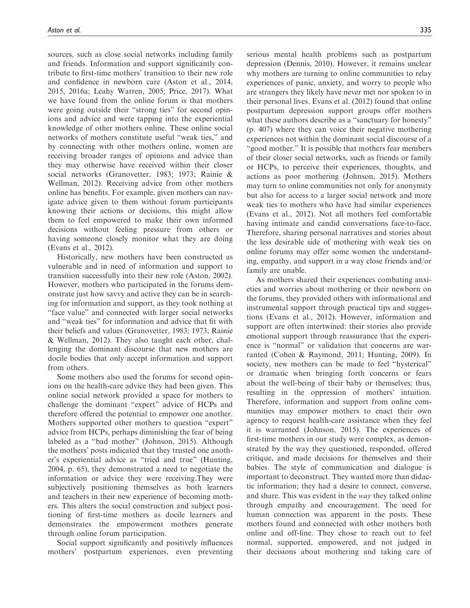sources, such as close social networks including family and friends. Information and support significantly contribute to first-time mothers' transition to their new role and confidence in newborn care (Aston et al., 2014, 2015, 2016a; Leahy Warren, 2005; Price, 2017). What we have found from the online forum is that mothers were going outside their "strong ties" for second opinions and advice and were tapping into the experiential knowledge of other mothers online. These online social networks of mothers constitute useful "weak ties," and by connecting with other mothers online, women are receiving broader ranges of opinions and advice than they may otherwise have received within their closer social networks (Granovetter, 1983; 1973; Rainie & Wellman, 2012). Receiving advice from other mothers online has benefits. For example, given mothers can navigate advice given to them without forum participants knowing their actions or decisions, this might allow them to feel empowered to make their own informed decisions without feeling pressure from others or having someone closely monitor what they are doing (Evans et al., 2012).

Historically, new mothers have been constructed as vulnerable and in need of information and support to transition successfully into their new role (Aston, 2002). However, mothers who participated in the forums demonstrate just how savvy and active they can be in searching for information and support, as they took nothing at "face value" and connected with larger social networks and "weak ties" for information and advice that fit with their beliefs and values (Granovetter, 1983; 1973; Rainie & Wellman, 2012). They also taught each other, challenging the dominant discourse that new mothers are docile bodies that only accept information and support from others.

Some mothers also used the forums for second opinions on the health-care advice they had been given. This online social network provided a space for mothers to challenge the dominant "expert" advice of HCPs and therefore offered the potential to empower one another. Mothers supported other mothers to question "expert" advice from HCPs, perhaps diminishing the fear of being labeled as a "bad mother" (Johnson, 2015). Although the mothers' posts indicated that they trusted one another's experiential advice as "tried and true" (Hunting, 2004, p. 65), they demonstrated a need to negotiate the information or advice they were receiving.They were subjectively positioning themselves as both learners and teachers in their new experience of becoming mothers. This alters the social construction and subject positioning of first-time mothers as docile learners and demonstrates the empowerment mothers generate through online forum participation.

Social support significantly and positively influences mothers' postpartum experiences, even preventing

serious mental health problems such as postpartum depression (Dennis, 2010). However, it remains unclear why mothers are turning to online communities to relay experiences of panic, anxiety, and worry to people who are strangers they likely have never met nor spoken to in their personal lives. Evans et al. (2012) found that online postpartum depression support groups offer mothers what these authors describe as a "sanctuary for honesty" (p. 407) where they can voice their negative mothering experiences not within the dominant social discourse of a "good mother." It is possible that mothers fear members of their closer social networks, such as friends or family or HCPs, to perceive their experiences, thoughts, and actions as poor mothering (Johnson, 2015). Mothers may turn to online communities not only for anonymity but also for access to a larger social network and more weak ties to mothers who have had similar experiences (Evans et al., 2012). Not all mothers feel comfortable having intimate and candid conversations face-to-face. Therefore, sharing personal narratives and stories about the less desirable side of mothering with weak ties on online forums may offer some women the understanding, empathy, and support in a way close friends and/or family are unable.

As mothers shared their experiences combating anxieties and worries about mothering or their newborn on the forums, they provided others with informational and instrumental support through practical tips and suggestions (Evans et al., 2012). However, information and support are often intertwined: their stories also provide emotional support through reassurance that the experience is "normal" or validation that concerns are warranted (Cohen & Raymond, 2011; Hunting, 2009). In society, new mothers can be made to feel "hysterical" or dramatic when bringing forth concerns or fears about the well-being of their baby or themselves; thus, resulting in the oppression of mothers' intuition. Therefore, information and support from online communities may empower mothers to enact their own agency to request health-care assistance when they feel it is warranted (Johnson, 2015). The experiences of first-time mothers in our study were complex, as demonstrated by the way they questioned, responded, offered critique, and made decisions for themselves and their babies. The style of communication and dialogue is important to deconstruct. They wanted more than didactic information; they had a desire to connect, converse, and share. This was evident in the way they talked online through empathy and encouragement. The need for human connection was apparent in the posts. These mothers found and connected with other mothers both online and off-line. They chose to reach out to feel normal, supported, empowered, and not judged in their decisions about mothering and taking care of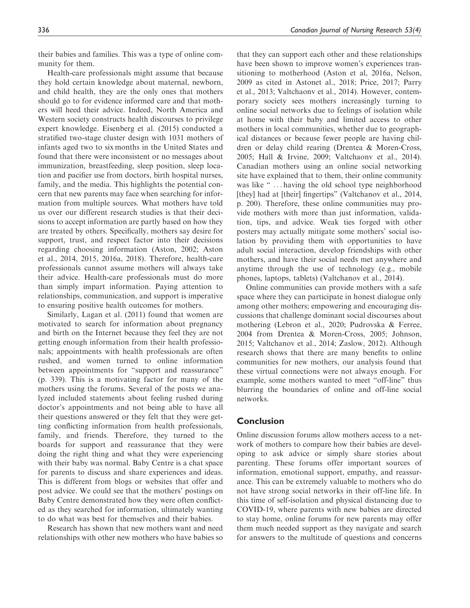Health-care professionals might assume that because they hold certain knowledge about maternal, newborn, and child health, they are the only ones that mothers should go to for evidence informed care and that mothers will heed their advice. Indeed, North America and Western society constructs health discourses to privilege expert knowledge. Eisenberg et al. (2015) conducted a stratified two-stage cluster design with 1031 mothers of infants aged two to six months in the United States and found that there were inconsistent or no messages about immunization, breastfeeding, sleep position, sleep location and pacifier use from doctors, birth hospital nurses, family, and the media. This highlights the potential concern that new parents may face when searching for information from multiple sources. What mothers have told us over our different research studies is that their decisions to accept information are partly based on how they are treated by others. Specifically, mothers say desire for support, trust, and respect factor into their decisions regarding choosing information (Aston, 2002; Aston et al., 2014, 2015, 2016a, 2018). Therefore, health-care professionals cannot assume mothers will always take their advice. Health-care professionals must do more than simply impart information. Paying attention to relationships, communication, and support is imperative to ensuring positive health outcomes for mothers.

Similarly, Lagan et al. (2011) found that women are motivated to search for information about pregnancy and birth on the Internet because they feel they are not getting enough information from their health professionals; appointments with health professionals are often rushed, and women turned to online information between appointments for "support and reassurance" (p. 339). This is a motivating factor for many of the mothers using the forums. Several of the posts we analyzed included statements about feeling rushed during doctor's appointments and not being able to have all their questions answered or they felt that they were getting conflicting information from health professionals, family, and friends. Therefore, they turned to the boards for support and reassurance that they were doing the right thing and what they were experiencing with their baby was normal. Baby Centre is a chat space for parents to discuss and share experiences and ideas. This is different from blogs or websites that offer and post advice. We could see that the mothers' postings on Baby Centre demonstrated how they were often conflicted as they searched for information, ultimately wanting to do what was best for themselves and their babies.

Research has shown that new mothers want and need relationships with other new mothers who have babies so that they can support each other and these relationships have been shown to improve women's experiences transitioning to motherhood (Aston et al, 2016a, Nelson, 2009 as cited in Astonet al., 2018; Price, 2017; Parry et al., 2013; Valtchaonv et al., 2014). However, contemporary society sees mothers increasingly turning to online social networks due to feelings of isolation while at home with their baby and limited access to other mothers in local communities, whether due to geographical distances or because fewer people are having children or delay child rearing (Drentea & Moren-Cross, 2005; Hall & Irvine, 2009; Valtchaonv et al., 2014). Canadian mothers using an online social networking site have explained that to them, their online community was like " ... having the old school type neighborhood [they] had at [their] fingertips" (Valtchanov et al., 2014, p. 200). Therefore, these online communities may provide mothers with more than just information, validation, tips, and advice. Weak ties forged with other posters may actually mitigate some mothers' social isolation by providing them with opportunities to have adult social interaction, develop friendships with other mothers, and have their social needs met anywhere and

phones, laptops, tablets) (Valtchanov et al., 2014). Online communities can provide mothers with a safe space where they can participate in honest dialogue only among other mothers; empowering and encouraging discussions that challenge dominant social discourses about mothering (Lebron et al., 2020; Pudrovska & Ferree, 2004 from Drentea & Moren-Cross, 2005; Johnson, 2015; Valtchanov et al., 2014; Zaslow, 2012). Although research shows that there are many benefits to online communities for new mothers, our analysis found that these virtual connections were not always enough. For example, some mothers wanted to meet "off-line" thus blurring the boundaries of online and off-line social networks.

anytime through the use of technology (e.g., mobile

### Conclusion

Online discussion forums allow mothers access to a network of mothers to compare how their babies are developing to ask advice or simply share stories about parenting. These forums offer important sources of information, emotional support, empathy, and reassurance. This can be extremely valuable to mothers who do not have strong social networks in their off-line life. In this time of self-isolation and physical distancing due to COVID-19, where parents with new babies are directed to stay home, online forums for new parents may offer them much needed support as they navigate and search for answers to the multitude of questions and concerns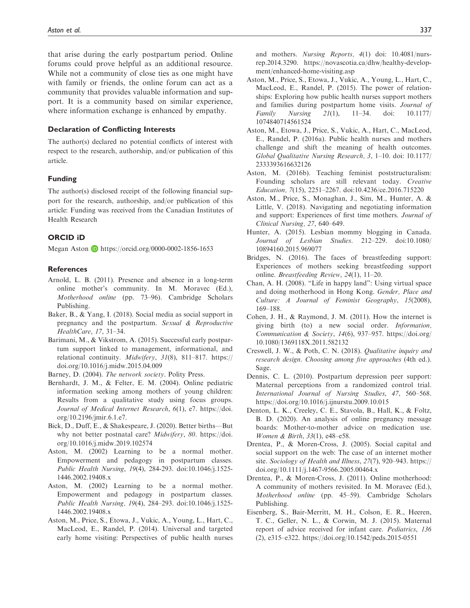that arise during the early postpartum period. Online forums could prove helpful as an additional resource. While not a community of close ties as one might have with family or friends, the online forum can act as a community that provides valuable information and support. It is a community based on similar experience, where information exchange is enhanced by empathy.

#### Declaration of Conflicting Interests

The author(s) declared no potential conflicts of interest with respect to the research, authorship, and/or publication of this article.

#### Funding

The author(s) disclosed receipt of the following financial support for the research, authorship, and/or publication of this article: Funding was received from the Canadian Institutes of Health Research

#### ORCID iD

Megan Aston D <https://orcid.org/0000-0002-1856-1653>

#### **References**

- Arnold, L. B. (2011). Presence and absence in a long-term online mother's community. In M. Moravec (Ed.), Motherhood online (pp. 73–96). Cambridge Scholars Publishing.
- Baker, B., & Yang, I. (2018). Social media as social support in pregnancy and the postpartum. Sexual & Reproductive HealthCare, 17, 31–34.
- Barimani, M., & Vikstrom, A. (2015). Successful early postpartum support linked to management, informational, and relational continuity. Midwifery, 31(8), 811–817. [https://](https://doi.org/10.1016/j.midw.2015.04.009) [doi.org/10.1016/j.midw.2015.04.009](https://doi.org/10.1016/j.midw.2015.04.009)
- Barney, D. (2004). The network society. Polity Press.
- Bernhardt, J. M., & Felter, E. M. (2004). Online pediatric information seeking among mothers of young children: Results from a qualitative study using focus groups. Journal of Medical Internet Research, 6(1), e7. [https://doi.](https://doi.org/10.2196/jmir.6.1.e7) [org/10.2196/jmir.6.1.e7](https://doi.org/10.2196/jmir.6.1.e7).
- Bick, D., Duff, E., & Shakespeare, J. (2020). Better births—But why not better postnatal care? Midwifery, 80. [https://doi.](https://doi.org/10.1016/j.midw.2019.102574) [org/10.1016/j.midw.2019.102574](https://doi.org/10.1016/j.midw.2019.102574)
- Aston, M. (2002) Learning to be a normal mother. Empowerment and pedagogy in postpartum classes. Public Health Nursing, 19(4), 284-293. doi:10.1046/j.1525- 1446.2002.19408.x
- Aston, M. (2002) Learning to be a normal mother. Empowerment and pedagogy in postpartum classes. Public Health Nursing, 19(4), 284–293. doi:10.1046/j.1525- 1446.2002.19408.x
- Aston, M., Price, S., Etowa, J., Vukic, A., Young, L., Hart, C., MacLeod, E., Randel, P. (2014). Universal and targeted early home visiting: Perspectives of public health nurses

and mothers. Nursing Reports, 4(1) doi: 10.4081/nursrep.2014.3290. https://novascotia.ca/dhw/healthy-development/enhanced-home-visiting.asp

- Aston, M., Price, S., Etowa, J., Vukic, A., Young, L., Hart, C., MacLeod, E., Randel, P. (2015). The power of relationships: Exploring how public health nurses support mothers and families during postpartum home visits. Journal of Family Nursing 21(1), 11–34. doi: 10.1177/ 1074840714561524
- Aston, M., Etowa, J., Price, S., Vukic, A., Hart, C., MacLeod, E., Randel, P. (2016a). Public health nurses and mothers challenge and shift the meaning of health outcomes. Global Qualitative Nursing Research, 3, 1–10. doi: 10.1177/ 2333393616632126
- Aston, M. (2016b). Teaching feminist poststructuralism: Founding scholars are still relevant today. Creative Education, 7(15), 2251–2267. doi:10.4236/ce.2016.715220
- Aston, M., Price, S., Monaghan, J., Sim, M., Hunter, A. & Little, V. (2018). Navigating and negotiating information and support: Experiences of first time mothers. Journal of Clinical Nursing, 27, 640–649.
- Hunter, A. (2015). Lesbian mommy blogging in Canada. Journal of Lesbian Studies. 212–229. doi:10.1080/ 10894160.2015.969077
- Bridges, N. (2016). The faces of breastfeeding support: Experiences of mothers seeking breastfeeding support online. Breastfeeding Review, 24(1), 11–20.
- Chan, A. H. (2008). "Life in happy land": Using virtual space and doing motherhood in Hong Kong. Gender, Place and Culture: A Journal of Feminist Geography, 15(2008), 169–188.
- Cohen, J. H., & Raymond, J. M. (2011). How the internet is giving birth (to) a new social order. Information, Communication & Society, 14(6), 937–957. [https://doi.org/](https://doi.org/10.1080/1369118X.2011.582132) [10.1080/1369118X.2011.582132](https://doi.org/10.1080/1369118X.2011.582132)
- Creswell, J. W., & Poth, C. N. (2018). Qualitative inquiry and research design. Choosing among five approaches (4th ed.). Sage.
- Dennis, C. L. (2010). Postpartum depression peer support: Maternal perceptions from a randomized control trial. International Journal of Nursing Studies, 47, 560–568. <https://doi.org/10.1016/j.ijnurstu.2009.10.015>
- Denton, L. K., Creeley, C. E., Stavola, B., Hall, K., & Foltz, B. D. (2020). An analysis of online pregnancy message boards: Mother-to-mother advice on medication use. Women & Birth, 33(1), e48-e58.
- Drentea, P., & Moren-Cross, J. (2005). Social capital and social support on the web: The case of an internet mother site. Sociology of Health and Illness, 27(7), 920–943. [https://](https://doi.org/10.1111/j.1467-9566.2005.00464.x) [doi.org/10.1111/j.1467-9566.2005.00464.x](https://doi.org/10.1111/j.1467-9566.2005.00464.x)
- Drentea, P., & Moren-Cross, J. (2011). Online motherhood: A community of mothers revisited. In M. Moravec (Ed.), Motherhood online (pp. 45–59). Cambridge Scholars Publishing.
- Eisenberg, S., Bair-Merritt, M. H., Colson, E. R., Heeren, T. C., Geller, N. L., & Corwin, M. J. (2015). Maternal report of advice received for infant care. Pediatrics, 136 (2), e315–e322.<https://doi.org/10.1542/peds.2015-0551>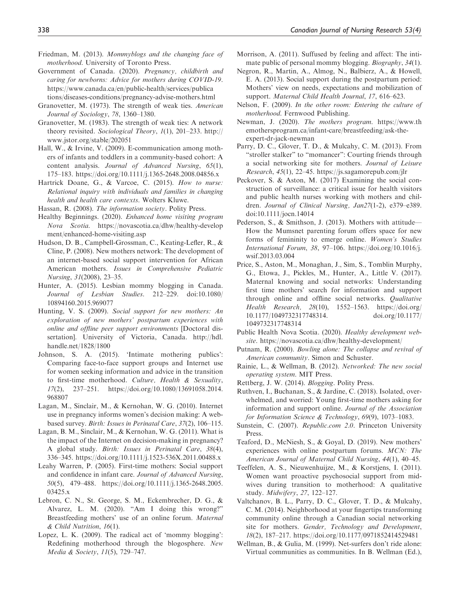- Friedman, M. (2013). Mommyblogs and the changing face of motherhood. University of Toronto Press.
- Government of Canada. (2020). Pregnancy, childbirth and caring for newborns: Advice for mothers during COVID-19. [https://www.canada.ca/en/public-health/services/publica](https://www.canada.ca/en/public-health/services/publications/diseases-conditions/pregnancy-advise-mothers.html) [tions/diseases-conditions/pregnancy-advise-mothers.html](https://www.canada.ca/en/public-health/services/publications/diseases-conditions/pregnancy-advise-mothers.html)
- Granovetter, M. (1973). The strength of weak ties. American Journal of Sociology, 78, 1360-1380.
- Granovetter, M. (1983). The strength of weak ties: A network theory revisited. Sociological Theory, 1(1), 201–233. [http://](http://www.jstor.org/stable/202051) [www.jstor.org/stable/202051](http://www.jstor.org/stable/202051)
- Hall, W., & Irvine, V. (2009). E-communication among mothers of infants and toddlers in a community-based cohort: A content analysis. Journal of Advanced Nursing, 65(1), 175–183.<https://doi.org/10.1111/j.1365-2648.2008.04856.x>
- Hartrick Doane, G., & Varcoe, C. (2015). How to nurse: Relational inquiry with individuals and families in changing health and health care contexts. Wolters Kluwe.
- Hassan, R. (2008). The information society. Polity Press.
- Healthy Beginnings. (2020). Enhanced home visiting program Nova Scotia. [https://novascotia.ca/dhw/healthy-develop](https://novascotia.ca/dhw/healthy-development/enhanced-home-visiting.asp) [ment/enhanced-home-visiting.asp](https://novascotia.ca/dhw/healthy-development/enhanced-home-visiting.asp)
- Hudson, D. B., Campbell-Grossman, C., Keating-Lefler, R., & Cline, P. (2008). New mothers network: The development of an internet-based social support intervention for African American mothers. Issues in Comprehensive Pediatric Nursing, 31(2008), 23–35.
- Hunter, A. (2015). Lesbian mommy blogging in Canada. Journal of Lesbian Studies. 212–229. doi:10.1080/ 10894160.2015.969077
- Hunting, V. S. (2009). Social support for new mothers: An exploration of new mothers' postpartum experiences with online and offline peer support environments [Doctoral dissertation]. University of Victoria, Canada. [http://hdl.](http://hdl.handle.net/1828/1800) [handle.net/1828/1800](http://hdl.handle.net/1828/1800)
- Johnson, S. A. (2015). 'Intimate mothering publics': Comparing face-to-face support groups and Internet use for women seeking information and advice in the transition to first-time motherhood. Culture, Health & Sexuality, 17(2), 237–251. [https://doi.org/10.1080/13691058.2014.](https://doi.org/10.1080/13691058.2014.968807) [968807](https://doi.org/10.1080/13691058.2014.968807)
- Lagan, M., Sinclair, M., & Kernohan, W. G. (2010). Internet use in pregnancy informs women's decision making: A webbased survey. Birth: Issues in Perinatal Care, 37(2), 106–115.
- Lagan, B. M., Sinclair, M., & Kernohan, W. G. (2011). What is the impact of the Internet on decision-making in pregnancy? A global study. Birth: Issues in Perinatal Care, 38(4), 336–345.<https://doi.org/10.1111/j.1523-536X.2011.00488.x>
- Leahy Warren, P. (2005). First-time mothers: Social support and confidence in infant care. Journal of Advanced Nursing, 50(5), 479–488. [https://doi.org/10.1111/j.1365-2648.2005.](https://doi.org/10.1111/j.1365-2648.2005.03425.x) [03425.x](https://doi.org/10.1111/j.1365-2648.2005.03425.x)
- Lebron, C. N., St. George, S. M., Eckembrecher, D. G., & Alvarez, L. M. (2020). "Am I doing this wrong?" Breastfeeding mothers' use of an online forum. Maternal & Child Nutrition, 16(1).
- Lopez, L. K. (2009). The radical act of 'mommy blogging': Redefining motherhood through the blogosphere. New Media & Society, 11(5), 729–747.
- Morrison, A. (2011). Suffused by feeling and affect: The intimate public of personal mommy blogging. *Biography*, 34(1).
- Negron, R., Martin, A., Almog, N., Balbierz, A., & Howell, E. A. (2013). Social support during the postpartum period: Mothers' view on needs, expectations and mobilization of support. Maternal Child Health Journal, 17, 616–623.
- Nelson, F. (2009). In the other room: Entering the culture of motherhood. Fernwood Publishing.
- Newman, J. (2020). The mothers program. [https://www.th](https://www.themothersprogram.ca/infant-care/breastfeeding/ask-the-expert-dr-jack-newman) [emothersprogram.ca/infant-care/breastfeeding/ask-the](https://www.themothersprogram.ca/infant-care/breastfeeding/ask-the-expert-dr-jack-newman)[expert-dr-jack-newman](https://www.themothersprogram.ca/infant-care/breastfeeding/ask-the-expert-dr-jack-newman)
- Parry, D. C., Glover, T. D., & Mulcahy, C. M. (2013). From "stroller stalker" to "momancer": Courting friends through a social networking site for mothers. Journal of Leisure Research, 45(1), 22–45.<https://js.sagamorepub.com/jlr>
- Peckover, S. & Aston, M. (2017) Examining the social construction of surveillance: a critical issue for health visitors and public health nurses working with mothers and children. Journal of Clinical Nursing, Jan27(1-2), e379–e389. doi:10.1111/jocn.14014
- Pederson, S., & Smithson, J. (2013). Mothers with attitude— How the Mumsnet parenting forum offers space for new forms of femininity to emerge online. Women's Studies International Forum, 38, 97–106. [https://doi.org/10.1016/j.](https://doi.org/10.1016/j.wsif.2013.03.004) [wsif.2013.03.004](https://doi.org/10.1016/j.wsif.2013.03.004)
- Price, S., Aston, M., Monaghan, J., Sim, S., Tomblin Murphy, G., Etowa, J., Pickles, M., Hunter, A., Little V. (2017). Maternal knowing and social networks: Understanding first time mothers' search for information and support through online and offline social networks. Qualitative Health Research, 28(10), 1552–1563. https://doi.org/ 10.1177/1049732317748314. doi.org/10.1177/ 1049732317748314
- Public Health Nova Scotia. (2020). Healthy development website.<https://novascotia.ca/dhw/healthy-development/>
- Putnam, R. (2000). Bowling alone: The collapse and revival of American community. Simon and Schuster.
- Rainie, L., & Wellman, B. (2012). Networked: The new social operating system. MIT Press.
- Rettberg, J. W. (2014). Blogging. Polity Press.
- Ruthven, I., Buchanan, S., & Jardine, C. (2018). Isolated, overwhelmed, and worried: Young first-time mothers asking for information and support online. Journal of the Association for Information Science & Technology, 69(9), 1073–1083.
- Sunstein, C. (2007). Republic.com 2.0. Princeton University Press.
- Teaford, D., McNiesh, S., & Goyal, D. (2019). New mothers' experiences with online postpartum forums. MCN: The American Journal of Maternal Child Nursing, 44(1), 40–45.
- Teeffelen, A. S., Nieuwenhuijze, M., & Korstjens, I. (2011). Women want proactive psychosocial support from midwives during transition to motherhood: A qualitative study. Midwifery, 27, 122–127.
- Valtchanov, B. L., Parry, D. C., Glover, T. D., & Mulcahy, C. M. (2014). Neighborhood at your fingertips transforming community online through a Canadian social networking site for mothers. Gender, Technology and Development, 18(2), 187–217.<https://doi.org/10.1177/0971852414529481>
- Wellman, B., & Gulia, M. (1999). Net-surfers don't ride alone: Virtual communities as communities. In B. Wellman (Ed.),